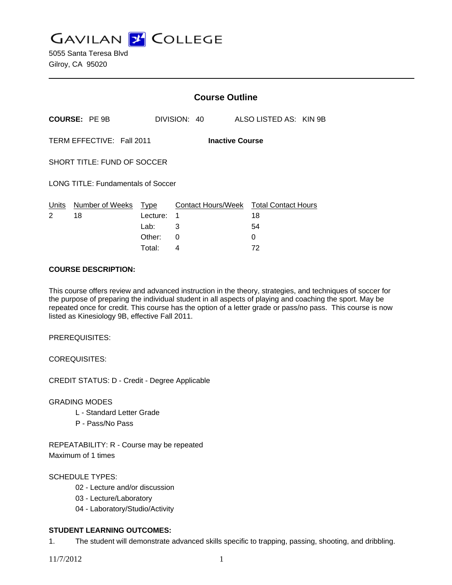**GAVILAN J COLLEGE** 

|                                                     |                            |          | <b>Course Outline</b> |                                              |  |
|-----------------------------------------------------|----------------------------|----------|-----------------------|----------------------------------------------|--|
|                                                     | <b>COURSE: PE 9B</b>       |          | DIVISION: 40          | ALSO LISTED AS: KIN 9B                       |  |
| TERM EFFECTIVE: Fall 2011<br><b>Inactive Course</b> |                            |          |                       |                                              |  |
| SHORT TITLE: FUND OF SOCCER                         |                            |          |                       |                                              |  |
| <b>LONG TITLE: Fundamentals of Soccer</b>           |                            |          |                       |                                              |  |
| Units<br>2                                          | Number of Weeks Type<br>18 | Lecture: | 1                     | Contact Hours/Week Total Contact Hours<br>18 |  |
|                                                     |                            | Lab:     | 3                     | 54                                           |  |
|                                                     |                            | Other:   | 0                     | 0                                            |  |
|                                                     |                            | Total:   | 4                     | 72                                           |  |

### **COURSE DESCRIPTION:**

This course offers review and advanced instruction in the theory, strategies, and techniques of soccer for the purpose of preparing the individual student in all aspects of playing and coaching the sport. May be repeated once for credit. This course has the option of a letter grade or pass/no pass. This course is now listed as Kinesiology 9B, effective Fall 2011.

PREREQUISITES:

COREQUISITES:

CREDIT STATUS: D - Credit - Degree Applicable

GRADING MODES

- L Standard Letter Grade
- P Pass/No Pass

REPEATABILITY: R - Course may be repeated Maximum of 1 times

# SCHEDULE TYPES:

- 02 Lecture and/or discussion
- 03 Lecture/Laboratory
- 04 Laboratory/Studio/Activity

# **STUDENT LEARNING OUTCOMES:**

1. The student will demonstrate advanced skills specific to trapping, passing, shooting, and dribbling.

11/7/2012 1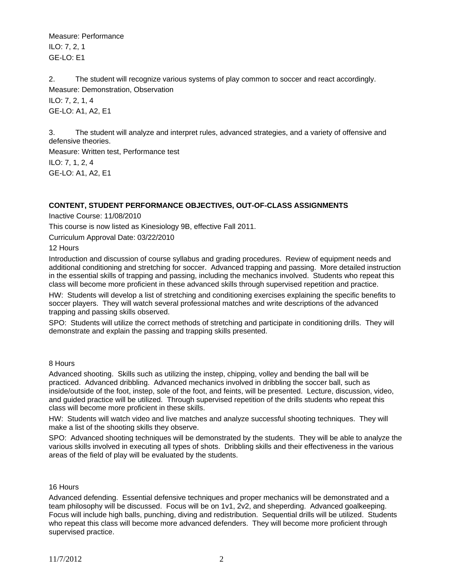Measure: Performance ILO: 7, 2, 1 GE-LO: E1

2. The student will recognize various systems of play common to soccer and react accordingly. Measure: Demonstration, Observation ILO: 7, 2, 1, 4 GE-LO: A1, A2, E1

3. The student will analyze and interpret rules, advanced strategies, and a variety of offensive and defensive theories.

Measure: Written test, Performance test ILO: 7, 1, 2, 4 GE-LO: A1, A2, E1

# **CONTENT, STUDENT PERFORMANCE OBJECTIVES, OUT-OF-CLASS ASSIGNMENTS**

Inactive Course: 11/08/2010

This course is now listed as Kinesiology 9B, effective Fall 2011.

Curriculum Approval Date: 03/22/2010

12 Hours

Introduction and discussion of course syllabus and grading procedures. Review of equipment needs and additional conditioning and stretching for soccer. Advanced trapping and passing. More detailed instruction in the essential skills of trapping and passing, including the mechanics involved. Students who repeat this class will become more proficient in these advanced skills through supervised repetition and practice.

HW: Students will develop a list of stretching and conditioning exercises explaining the specific benefits to soccer players. They will watch several professional matches and write descriptions of the advanced trapping and passing skills observed.

SPO: Students will utilize the correct methods of stretching and participate in conditioning drills. They will demonstrate and explain the passing and trapping skills presented.

### 8 Hours

Advanced shooting. Skills such as utilizing the instep, chipping, volley and bending the ball will be practiced. Advanced dribbling. Advanced mechanics involved in dribbling the soccer ball, such as inside/outside of the foot, instep, sole of the foot, and feints, will be presented. Lecture, discussion, video, and guided practice will be utilized. Through supervised repetition of the drills students who repeat this class will become more proficient in these skills.

HW: Students will watch video and live matches and analyze successful shooting techniques. They will make a list of the shooting skills they observe.

SPO: Advanced shooting techniques will be demonstrated by the students. They will be able to analyze the various skills involved in executing all types of shots. Dribbling skills and their effectiveness in the various areas of the field of play will be evaluated by the students.

# 16 Hours

Advanced defending. Essential defensive techniques and proper mechanics will be demonstrated and a team philosophy will be discussed. Focus will be on 1v1, 2v2, and sheperding. Advanced goalkeeping. Focus will include high balls, punching, diving and redistribution. Sequential drills will be utilized. Students who repeat this class will become more advanced defenders. They will become more proficient through supervised practice.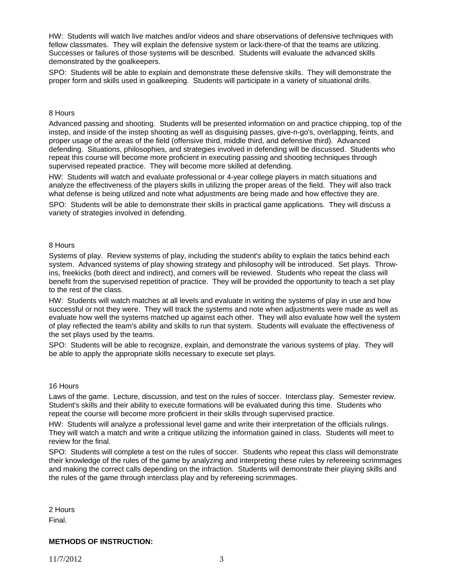HW: Students will watch live matches and/or videos and share observations of defensive techniques with fellow classmates. They will explain the defensive system or lack-there-of that the teams are utilizing. Successes or failures of those systems will be described. Students will evaluate the advanced skills demonstrated by the goalkeepers.

SPO: Students will be able to explain and demonstrate these defensive skills. They will demonstrate the proper form and skills used in goalkeeping. Students will participate in a variety of situational drills.

#### 8 Hours

Advanced passing and shooting. Students will be presented information on and practice chipping, top of the instep, and inside of the instep shooting as well as disguising passes, give-n-go's, overlapping, feints, and proper usage of the areas of the field (offensive third, middle third, and defensive third). Advanced defending. Situations, philosophies, and strategies involved in defending will be discussed. Students who repeat this course will become more proficient in executing passing and shooting techniques through supervised repeated practice. They will become more skilled at defending.

HW: Students will watch and evaluate professional or 4-year college players in match situations and analyze the effectiveness of the players skills in utilizing the proper areas of the field. They will also track what defense is being utilized and note what adjustments are being made and how effective they are.

SPO: Students will be able to demonstrate their skills in practical game applications. They will discuss a variety of strategies involved in defending.

#### 8 Hours

Systems of play. Review systems of play, including the student's ability to explain the tatics behind each system. Advanced systems of play showing strategy and philosophy will be introduced. Set plays. Throwins, freekicks (both direct and indirect), and corners will be reviewed. Students who repeat the class will benefit from the supervised repetition of practice. They will be provided the opportunity to teach a set play to the rest of the class.

HW: Students will watch matches at all levels and evaluate in writing the systems of play in use and how successful or not they were. They will track the systems and note when adjustments were made as well as evaluate how well the systems matched up against each other. They will also evaluate how well the system of play reflected the team's ability and skills to run that system. Students will evaluate the effectiveness of the set plays used by the teams.

SPO: Students will be able to recognize, explain, and demonstrate the various systems of play. They will be able to apply the appropriate skills necessary to execute set plays.

#### 16 Hours

Laws of the game. Lecture, discussion, and test on the rules of soccer. Interclass play. Semester review. Student's skills and their ability to execute formations will be evaluated during this time. Students who repeat the course will become more proficient in their skills through supervised practice.

HW: Students will analyze a professional level game and write their interpretation of the officials rulings. They will watch a match and write a critique utilizing the information gained in class. Students will meet to review for the final.

SPO: Students will complete a test on the rules of soccer. Students who repeat this class will demonstrate their knowledge of the rules of the game by analyzing and interpreting these rules by refereeing scrimmages and making the correct calls depending on the infraction. Students will demonstrate their playing skills and the rules of the game through interclass play and by refereeing scrimmages.

2 Hours Final.

### **METHODS OF INSTRUCTION:**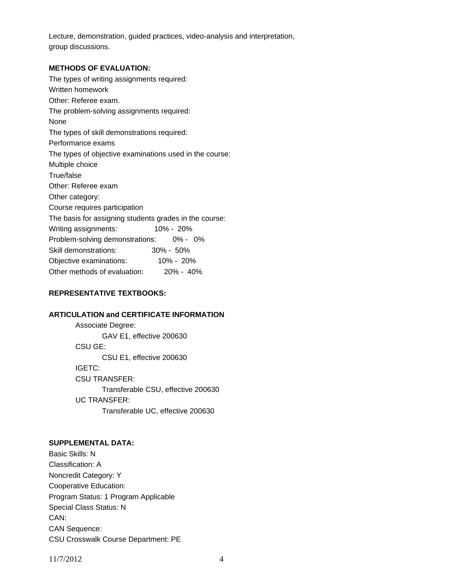Lecture, demonstration, guided practices, video-analysis and interpretation, group discussions.

### **METHODS OF EVALUATION:**

The types of writing assignments required: Written homework Other: Referee exam. The problem-solving assignments required: None The types of skill demonstrations required: Performance exams The types of objective examinations used in the course: Multiple choice True/false Other: Referee exam Other category: Course requires participation The basis for assigning students grades in the course: Writing assignments: 10% - 20% Problem-solving demonstrations: 0% - 0% Skill demonstrations: 30% - 50% Objective examinations: 10% - 20% Other methods of evaluation: 20% - 40%

# **REPRESENTATIVE TEXTBOOKS:**

# **ARTICULATION and CERTIFICATE INFORMATION**

 Associate Degree: GAV E1, effective 200630 CSU GE: CSU E1, effective 200630 IGETC: CSU TRANSFER: Transferable CSU, effective 200630 UC TRANSFER: Transferable UC, effective 200630

# **SUPPLEMENTAL DATA:**

Basic Skills: N Classification: A Noncredit Category: Y Cooperative Education: Program Status: 1 Program Applicable Special Class Status: N CAN: CAN Sequence: CSU Crosswalk Course Department: PE